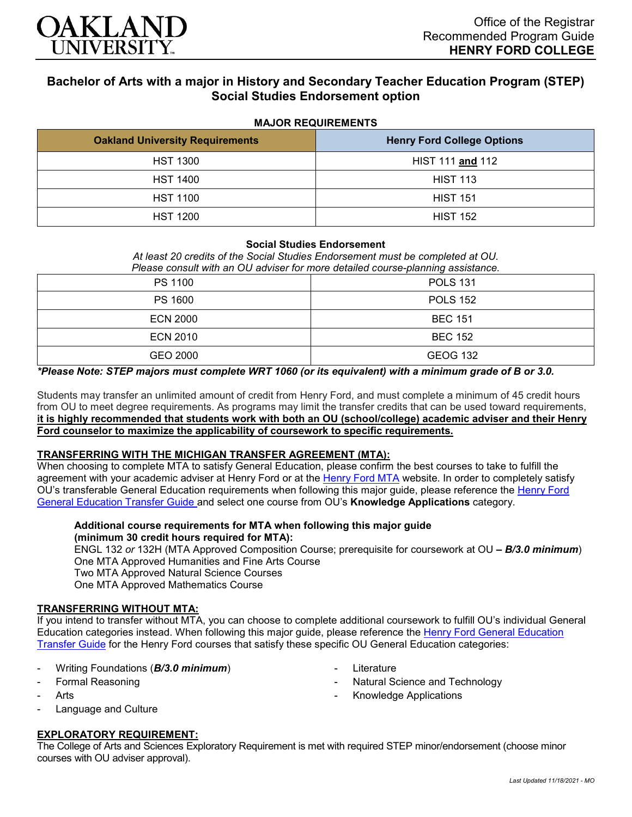

# **Bachelor of Arts with a major in History and Secondary Teacher Education Program (STEP) Social Studies Endorsement option**

## **MAJOR REQUIREMENTS**

| <b>Oakland University Requirements</b> | <b>Henry Ford College Options</b> |
|----------------------------------------|-----------------------------------|
| <b>HST 1300</b>                        | HIST 111 and 112                  |
| <b>HST 1400</b>                        | <b>HIST 113</b>                   |
| <b>HST 1100</b>                        | <b>HIST 151</b>                   |
| <b>HST 1200</b>                        | <b>HIST 152</b>                   |

## **Social Studies Endorsement**

*At least 20 credits of the Social Studies Endorsement must be completed at OU. Please consult with an OU adviser for more detailed course-planning assistance.*

| PS 1100         | <b>POLS 131</b> |
|-----------------|-----------------|
| <b>PS 1600</b>  | <b>POLS 152</b> |
| <b>ECN 2000</b> | <b>BEC 151</b>  |
| <b>ECN 2010</b> | <b>BEC 152</b>  |
| GEO 2000        | <b>GEOG 132</b> |

## *\*Please Note: STEP majors must complete WRT 1060 (or its equivalent) with a minimum grade of B or 3.0.*

Students may transfer an unlimited amount of credit from Henry Ford, and must complete a minimum of 45 credit hours from OU to meet degree requirements. As programs may limit the transfer credits that can be used toward requirements, **it is highly recommended that students work with both an OU (school/college) academic adviser and their Henry Ford counselor to maximize the applicability of coursework to specific requirements.**

#### **TRANSFERRING WITH THE MICHIGAN TRANSFER AGREEMENT (MTA):**

When choosing to complete MTA to satisfy General Education, please confirm the best courses to take to fulfill the agreement with your academic adviser at Henry Ford or at the [Henry Ford MTA](https://catalog.hfcc.edu/degrees/gen-ed) website. In order to completely satisfy OU's transferable General Education requirements when following this major guide, please reference the Henry Ford [General Education Transfer Guide](https://www.oakland.edu/Assets/Oakland/program-guides/henry-ford-college/university-general-education-requirements/Henry%20Ford%20Gen%20Ed.pdf) and select one course from OU's **Knowledge Applications** category.

## **Additional course requirements for MTA when following this major guide (minimum 30 credit hours required for MTA):**

ENGL 132 *or* 132H (MTA Approved Composition Course; prerequisite for coursework at OU *– B/3.0 minimum*) One MTA Approved Humanities and Fine Arts Course Two MTA Approved Natural Science Courses One MTA Approved Mathematics Course

**Literature** 

Natural Science and Technology

- Knowledge Applications

#### **TRANSFERRING WITHOUT MTA:**

If you intend to transfer without MTA, you can choose to complete additional coursework to fulfill OU's individual General Education categories instead. When following this major guide, please reference the [Henry Ford General Education](https://www.oakland.edu/Assets/Oakland/program-guides/henry-ford-college/university-general-education-requirements/Henry%20Ford%20Gen%20Ed.pdf)  [Transfer Guide](https://www.oakland.edu/Assets/Oakland/program-guides/henry-ford-college/university-general-education-requirements/Henry%20Ford%20Gen%20Ed.pdf) for the Henry Ford courses that satisfy these specific OU General Education categories:

- Writing Foundations (*B/3.0 minimum*)
- Formal Reasoning
- **Arts**
- Language and Culture

## **EXPLORATORY REQUIREMENT:**

The College of Arts and Sciences Exploratory Requirement is met with required STEP minor/endorsement (choose minor courses with OU adviser approval).